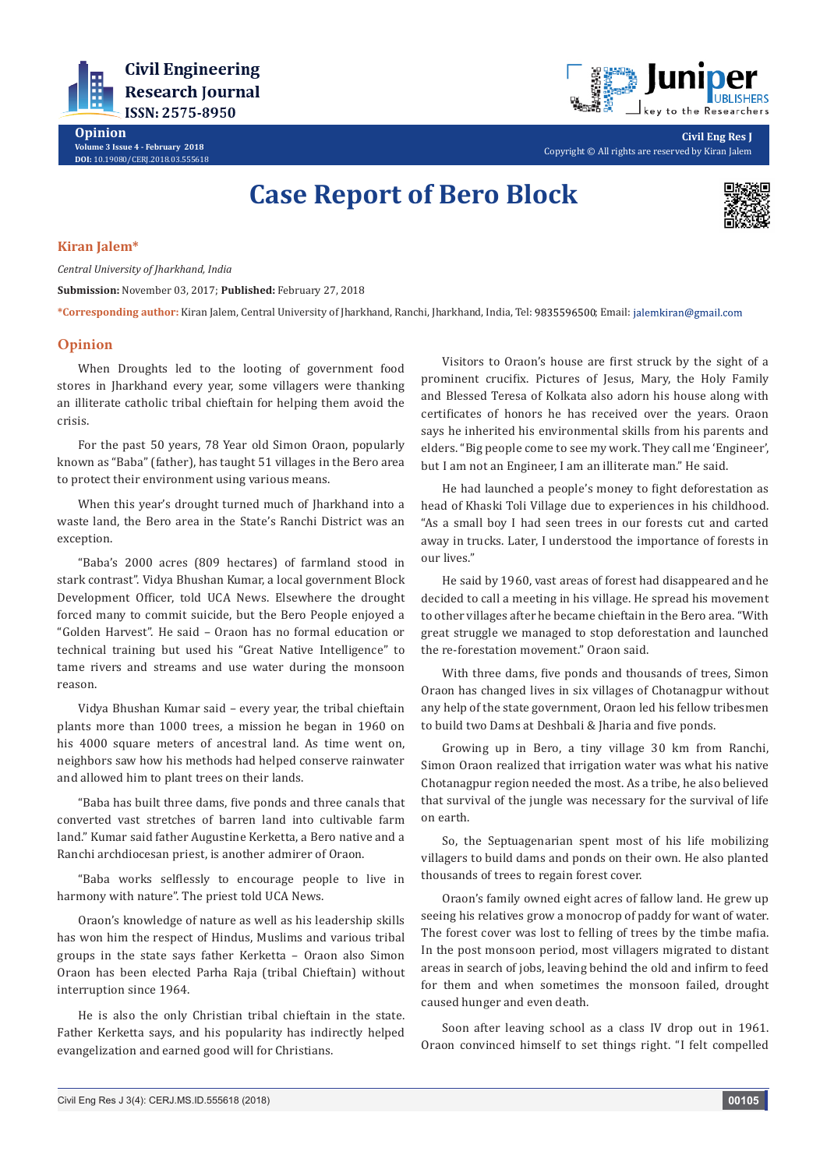

**Opinion Volume 3 Issue 4 - February 2018 DOI:** [10.19080/CERJ.2018.03.555618](http://dx.doi.org/10.19080/CERJ.2018.03.555618)



**Civil Eng Res J** Copyright © All rights are reserved by Kiran Jalem

## **Case Report of Bero Block**



## **Kiran Jalem\***

*Central University of Jharkhand, India*

**Submission:** November 03, 2017; **Published:** February 27, 2018

\*Corresponding author: Kiran Jalem, Central University of Jharkhand, Ranchi, Jharkhand, India, Tel: 9835596500; Email: jalemkiran@gmail.com

## **Opinion**

When Droughts led to the looting of government food stores in Jharkhand every year, some villagers were thanking an illiterate catholic tribal chieftain for helping them avoid the crisis.

For the past 50 years, 78 Year old Simon Oraon, popularly known as "Baba" (father), has taught 51 villages in the Bero area to protect their environment using various means.

When this year's drought turned much of Jharkhand into a waste land, the Bero area in the State's Ranchi District was an exception.

"Baba's 2000 acres (809 hectares) of farmland stood in stark contrast". Vidya Bhushan Kumar, a local government Block Development Officer, told UCA News. Elsewhere the drought forced many to commit suicide, but the Bero People enjoyed a "Golden Harvest". He said – Oraon has no formal education or technical training but used his "Great Native Intelligence" to tame rivers and streams and use water during the monsoon reason.

Vidya Bhushan Kumar said – every year, the tribal chieftain plants more than 1000 trees, a mission he began in 1960 on his 4000 square meters of ancestral land. As time went on, neighbors saw how his methods had helped conserve rainwater and allowed him to plant trees on their lands.

"Baba has built three dams, five ponds and three canals that converted vast stretches of barren land into cultivable farm land." Kumar said father Augustine Kerketta, a Bero native and a Ranchi archdiocesan priest, is another admirer of Oraon.

"Baba works selflessly to encourage people to live in harmony with nature". The priest told UCA News.

Oraon's knowledge of nature as well as his leadership skills has won him the respect of Hindus, Muslims and various tribal groups in the state says father Kerketta – Oraon also Simon Oraon has been elected Parha Raja (tribal Chieftain) without interruption since 1964.

He is also the only Christian tribal chieftain in the state. Father Kerketta says, and his popularity has indirectly helped evangelization and earned good will for Christians.

Visitors to Oraon's house are first struck by the sight of a prominent crucifix. Pictures of Jesus, Mary, the Holy Family and Blessed Teresa of Kolkata also adorn his house along with certificates of honors he has received over the years. Oraon says he inherited his environmental skills from his parents and elders. "Big people come to see my work. They call me 'Engineer', but I am not an Engineer, I am an illiterate man." He said.

He had launched a people's money to fight deforestation as head of Khaski Toli Village due to experiences in his childhood. "As a small boy I had seen trees in our forests cut and carted away in trucks. Later, I understood the importance of forests in our lives."

He said by 1960, vast areas of forest had disappeared and he decided to call a meeting in his village. He spread his movement to other villages after he became chieftain in the Bero area. "With great struggle we managed to stop deforestation and launched the re-forestation movement." Oraon said.

With three dams, five ponds and thousands of trees, Simon Oraon has changed lives in six villages of Chotanagpur without any help of the state government, Oraon led his fellow tribesmen to build two Dams at Deshbali & Jharia and five ponds.

Growing up in Bero, a tiny village 30 km from Ranchi, Simon Oraon realized that irrigation water was what his native Chotanagpur region needed the most. As a tribe, he also believed that survival of the jungle was necessary for the survival of life on earth.

So, the Septuagenarian spent most of his life mobilizing villagers to build dams and ponds on their own. He also planted thousands of trees to regain forest cover.

Oraon's family owned eight acres of fallow land. He grew up seeing his relatives grow a monocrop of paddy for want of water. The forest cover was lost to felling of trees by the timbe mafia. In the post monsoon period, most villagers migrated to distant areas in search of jobs, leaving behind the old and infirm to feed for them and when sometimes the monsoon failed, drought caused hunger and even death.

Soon after leaving school as a class IV drop out in 1961. Oraon convinced himself to set things right. "I felt compelled